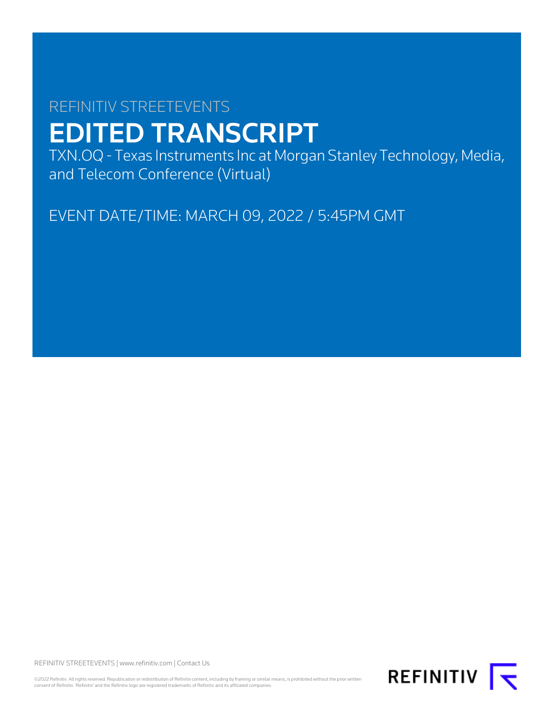# REFINITIV STREETEVENTS EDITED TRANSCRIPT

TXN.OQ - Texas Instruments Inc at Morgan Stanley Technology, Media, and Telecom Conference (Virtual)

EVENT DATE/TIME: MARCH 09, 2022 / 5:45PM GMT

REFINITIV STREETEVENTS | [www.refinitiv.com](https://www.refinitiv.com/) | [Contact Us](https://www.refinitiv.com/en/contact-us)

©2022 Refinitiv. All rights reserved. Republication or redistribution of Refinitiv content, including by framing or similar means, is prohibited without the prior written<br>consent of Refinitiv. 'Refinitiv' and the Refinitiv

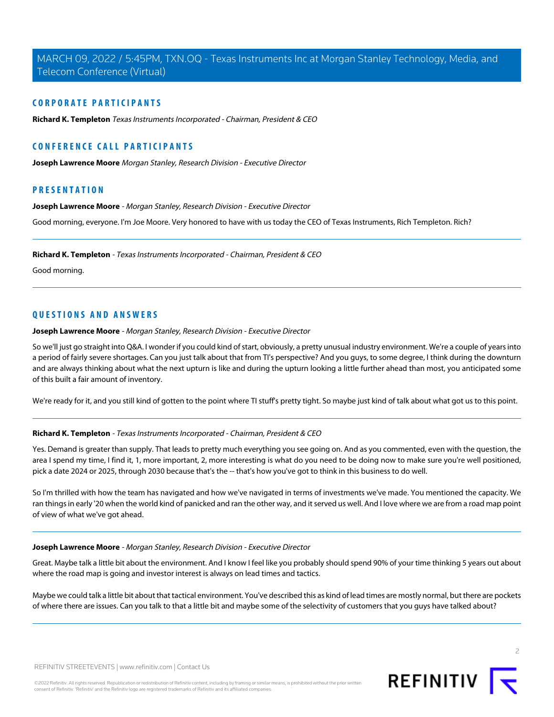# **CORPORATE PARTICIPANTS**

**[Richard K. Templeton](#page-1-0)** Texas Instruments Incorporated - Chairman, President & CEO

# **CONFERENCE CALL PARTICIPANTS**

**[Joseph Lawrence Moore](#page-1-1)** Morgan Stanley, Research Division - Executive Director

# <span id="page-1-1"></span>**PRESENTATION**

**Joseph Lawrence Moore** - Morgan Stanley, Research Division - Executive Director

<span id="page-1-0"></span>Good morning, everyone. I'm Joe Moore. Very honored to have with us today the CEO of Texas Instruments, Rich Templeton. Rich?

**Richard K. Templeton** - Texas Instruments Incorporated - Chairman, President & CEO

Good morning.

# **QUESTIONS AND ANSWERS**

**Joseph Lawrence Moore** - Morgan Stanley, Research Division - Executive Director

So we'll just go straight into Q&A. I wonder if you could kind of start, obviously, a pretty unusual industry environment. We're a couple of years into a period of fairly severe shortages. Can you just talk about that from TI's perspective? And you guys, to some degree, I think during the downturn and are always thinking about what the next upturn is like and during the upturn looking a little further ahead than most, you anticipated some of this built a fair amount of inventory.

We're ready for it, and you still kind of gotten to the point where TI stuff's pretty tight. So maybe just kind of talk about what got us to this point.

#### **Richard K. Templeton** - Texas Instruments Incorporated - Chairman, President & CEO

Yes. Demand is greater than supply. That leads to pretty much everything you see going on. And as you commented, even with the question, the area I spend my time, I find it, 1, more important, 2, more interesting is what do you need to be doing now to make sure you're well positioned, pick a date 2024 or 2025, through 2030 because that's the -- that's how you've got to think in this business to do well.

So I'm thrilled with how the team has navigated and how we've navigated in terms of investments we've made. You mentioned the capacity. We ran things in early '20 when the world kind of panicked and ran the other way, and it served us well. And I love where we are from a road map point of view of what we've got ahead.

# **Joseph Lawrence Moore** - Morgan Stanley, Research Division - Executive Director

Great. Maybe talk a little bit about the environment. And I know I feel like you probably should spend 90% of your time thinking 5 years out about where the road map is going and investor interest is always on lead times and tactics.

Maybe we could talk a little bit about that tactical environment. You've described this as kind of lead times are mostly normal, but there are pockets of where there are issues. Can you talk to that a little bit and maybe some of the selectivity of customers that you guys have talked about?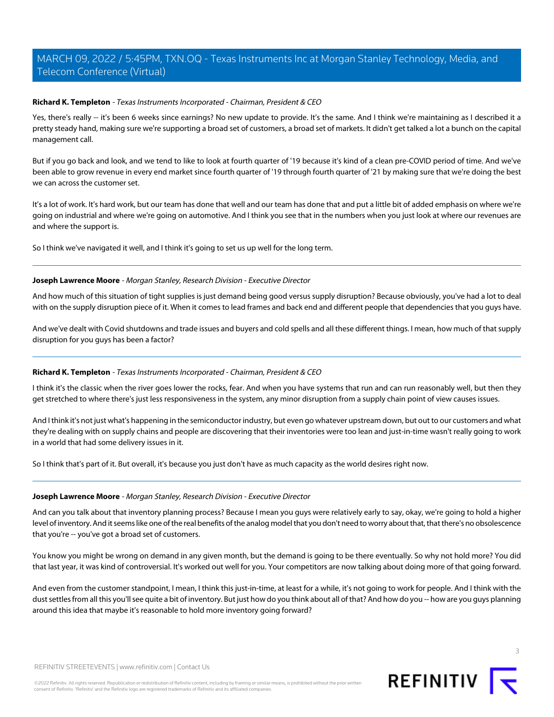# **Richard K. Templeton** - Texas Instruments Incorporated - Chairman, President & CEO

Yes, there's really -- it's been 6 weeks since earnings? No new update to provide. It's the same. And I think we're maintaining as I described it a pretty steady hand, making sure we're supporting a broad set of customers, a broad set of markets. It didn't get talked a lot a bunch on the capital management call.

But if you go back and look, and we tend to like to look at fourth quarter of '19 because it's kind of a clean pre-COVID period of time. And we've been able to grow revenue in every end market since fourth quarter of '19 through fourth quarter of '21 by making sure that we're doing the best we can across the customer set.

It's a lot of work. It's hard work, but our team has done that well and our team has done that and put a little bit of added emphasis on where we're going on industrial and where we're going on automotive. And I think you see that in the numbers when you just look at where our revenues are and where the support is.

So I think we've navigated it well, and I think it's going to set us up well for the long term.

# **Joseph Lawrence Moore** - Morgan Stanley, Research Division - Executive Director

And how much of this situation of tight supplies is just demand being good versus supply disruption? Because obviously, you've had a lot to deal with on the supply disruption piece of it. When it comes to lead frames and back end and different people that dependencies that you guys have.

And we've dealt with Covid shutdowns and trade issues and buyers and cold spells and all these different things. I mean, how much of that supply disruption for you guys has been a factor?

# **Richard K. Templeton** - Texas Instruments Incorporated - Chairman, President & CEO

I think it's the classic when the river goes lower the rocks, fear. And when you have systems that run and can run reasonably well, but then they get stretched to where there's just less responsiveness in the system, any minor disruption from a supply chain point of view causes issues.

And I think it's not just what's happening in the semiconductor industry, but even go whatever upstream down, but out to our customers and what they're dealing with on supply chains and people are discovering that their inventories were too lean and just-in-time wasn't really going to work in a world that had some delivery issues in it.

So I think that's part of it. But overall, it's because you just don't have as much capacity as the world desires right now.

#### **Joseph Lawrence Moore** - Morgan Stanley, Research Division - Executive Director

And can you talk about that inventory planning process? Because I mean you guys were relatively early to say, okay, we're going to hold a higher level of inventory. And it seems like one of the real benefits of the analog model that you don't need to worry about that, that there's no obsolescence that you're -- you've got a broad set of customers.

You know you might be wrong on demand in any given month, but the demand is going to be there eventually. So why not hold more? You did that last year, it was kind of controversial. It's worked out well for you. Your competitors are now talking about doing more of that going forward.

And even from the customer standpoint, I mean, I think this just-in-time, at least for a while, it's not going to work for people. And I think with the dust settles from all this you'll see quite a bit of inventory. But just how do you think about all of that? And how do you -- how are you guys planning around this idea that maybe it's reasonable to hold more inventory going forward?

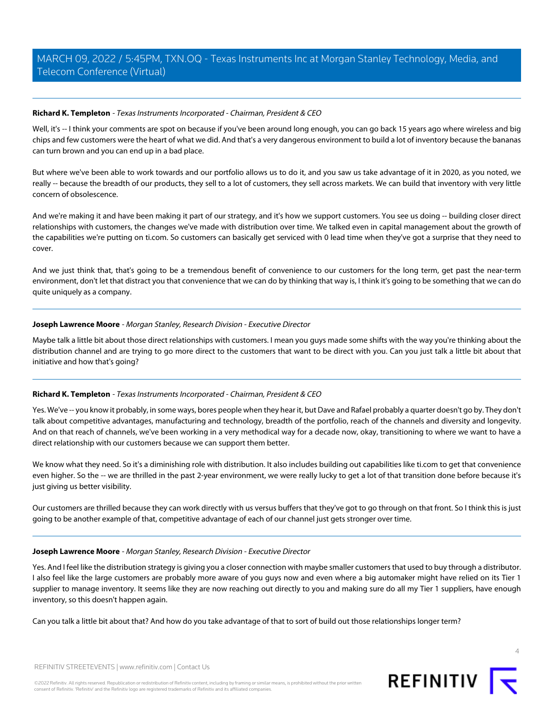# **Richard K. Templeton** - Texas Instruments Incorporated - Chairman, President & CEO

Well, it's -- I think your comments are spot on because if you've been around long enough, you can go back 15 years ago where wireless and big chips and few customers were the heart of what we did. And that's a very dangerous environment to build a lot of inventory because the bananas can turn brown and you can end up in a bad place.

But where we've been able to work towards and our portfolio allows us to do it, and you saw us take advantage of it in 2020, as you noted, we really -- because the breadth of our products, they sell to a lot of customers, they sell across markets. We can build that inventory with very little concern of obsolescence.

And we're making it and have been making it part of our strategy, and it's how we support customers. You see us doing -- building closer direct relationships with customers, the changes we've made with distribution over time. We talked even in capital management about the growth of the capabilities we're putting on ti.com. So customers can basically get serviced with 0 lead time when they've got a surprise that they need to cover.

And we just think that, that's going to be a tremendous benefit of convenience to our customers for the long term, get past the near-term environment, don't let that distract you that convenience that we can do by thinking that way is, I think it's going to be something that we can do quite uniquely as a company.

# **Joseph Lawrence Moore** - Morgan Stanley, Research Division - Executive Director

Maybe talk a little bit about those direct relationships with customers. I mean you guys made some shifts with the way you're thinking about the distribution channel and are trying to go more direct to the customers that want to be direct with you. Can you just talk a little bit about that initiative and how that's going?

# **Richard K. Templeton** - Texas Instruments Incorporated - Chairman, President & CEO

Yes. We've -- you know it probably, in some ways, bores people when they hear it, but Dave and Rafael probably a quarter doesn't go by. They don't talk about competitive advantages, manufacturing and technology, breadth of the portfolio, reach of the channels and diversity and longevity. And on that reach of channels, we've been working in a very methodical way for a decade now, okay, transitioning to where we want to have a direct relationship with our customers because we can support them better.

We know what they need. So it's a diminishing role with distribution. It also includes building out capabilities like ti.com to get that convenience even higher. So the -- we are thrilled in the past 2-year environment, we were really lucky to get a lot of that transition done before because it's just giving us better visibility.

Our customers are thrilled because they can work directly with us versus buffers that they've got to go through on that front. So I think this is just going to be another example of that, competitive advantage of each of our channel just gets stronger over time.

#### **Joseph Lawrence Moore** - Morgan Stanley, Research Division - Executive Director

Yes. And I feel like the distribution strategy is giving you a closer connection with maybe smaller customers that used to buy through a distributor. I also feel like the large customers are probably more aware of you guys now and even where a big automaker might have relied on its Tier 1 supplier to manage inventory. It seems like they are now reaching out directly to you and making sure do all my Tier 1 suppliers, have enough inventory, so this doesn't happen again.

Can you talk a little bit about that? And how do you take advantage of that to sort of build out those relationships longer term?



 $\Lambda$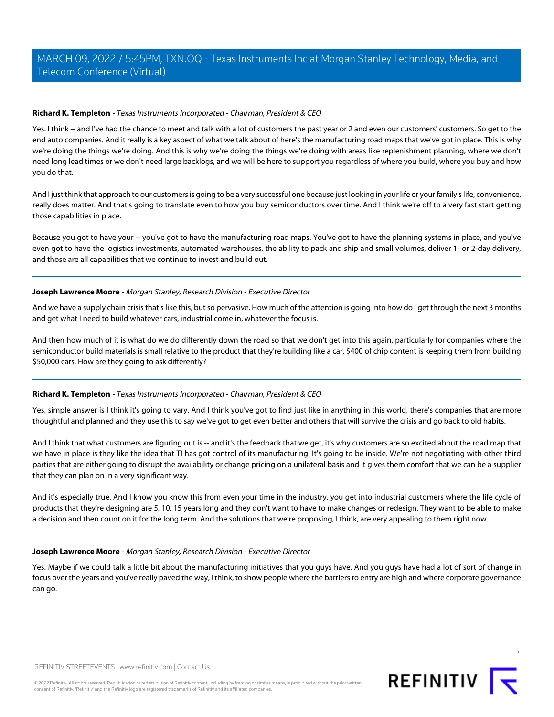# **Richard K. Templeton** - Texas Instruments Incorporated - Chairman, President & CEO

Yes. I think -- and I've had the chance to meet and talk with a lot of customers the past year or 2 and even our customers' customers. So get to the end auto companies. And it really is a key aspect of what we talk about of here's the manufacturing road maps that we've got in place. This is why we're doing the things we're doing. And this is why we're doing the things we're doing with areas like replenishment planning, where we don't need long lead times or we don't need large backlogs, and we will be here to support you regardless of where you build, where you buy and how you do that.

And I just think that approach to our customers is going to be a very successful one because just looking in your life or your family's life, convenience, really does matter. And that's going to translate even to how you buy semiconductors over time. And I think we're off to a very fast start getting those capabilities in place.

Because you got to have your -- you've got to have the manufacturing road maps. You've got to have the planning systems in place, and you've even got to have the logistics investments, automated warehouses, the ability to pack and ship and small volumes, deliver 1- or 2-day delivery, and those are all capabilities that we continue to invest and build out.

# **Joseph Lawrence Moore** - Morgan Stanley, Research Division - Executive Director

And we have a supply chain crisis that's like this, but so pervasive. How much of the attention is going into how do I get through the next 3 months and get what I need to build whatever cars, industrial come in, whatever the focus is.

And then how much of it is what do we do differently down the road so that we don't get into this again, particularly for companies where the semiconductor build materials is small relative to the product that they're building like a car. \$400 of chip content is keeping them from building \$50,000 cars. How are they going to ask differently?

# **Richard K. Templeton** - Texas Instruments Incorporated - Chairman, President & CEO

Yes, simple answer is I think it's going to vary. And I think you've got to find just like in anything in this world, there's companies that are more thoughtful and planned and they use this to say we've got to get even better and others that will survive the crisis and go back to old habits.

And I think that what customers are figuring out is -- and it's the feedback that we get, it's why customers are so excited about the road map that we have in place is they like the idea that TI has got control of its manufacturing. It's going to be inside. We're not negotiating with other third parties that are either going to disrupt the availability or change pricing on a unilateral basis and it gives them comfort that we can be a supplier that they can plan on in a very significant way.

And it's especially true. And I know you know this from even your time in the industry, you get into industrial customers where the life cycle of products that they're designing are 5, 10, 15 years long and they don't want to have to make changes or redesign. They want to be able to make a decision and then count on it for the long term. And the solutions that we're proposing, I think, are very appealing to them right now.

#### **Joseph Lawrence Moore** - Morgan Stanley, Research Division - Executive Director

Yes. Maybe if we could talk a little bit about the manufacturing initiatives that you guys have. And you guys have had a lot of sort of change in focus over the years and you've really paved the way, I think, to show people where the barriers to entry are high and where corporate governance can go.

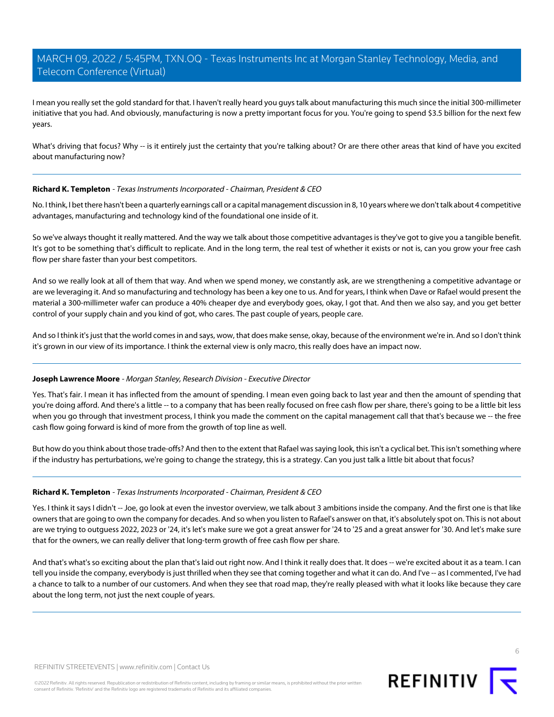I mean you really set the gold standard for that. I haven't really heard you guys talk about manufacturing this much since the initial 300-millimeter initiative that you had. And obviously, manufacturing is now a pretty important focus for you. You're going to spend \$3.5 billion for the next few years.

What's driving that focus? Why -- is it entirely just the certainty that you're talking about? Or are there other areas that kind of have you excited about manufacturing now?

# **Richard K. Templeton** - Texas Instruments Incorporated - Chairman, President & CEO

No. I think, I bet there hasn't been a quarterly earnings call or a capital management discussion in 8, 10 years where we don't talk about 4 competitive advantages, manufacturing and technology kind of the foundational one inside of it.

So we've always thought it really mattered. And the way we talk about those competitive advantages is they've got to give you a tangible benefit. It's got to be something that's difficult to replicate. And in the long term, the real test of whether it exists or not is, can you grow your free cash flow per share faster than your best competitors.

And so we really look at all of them that way. And when we spend money, we constantly ask, are we strengthening a competitive advantage or are we leveraging it. And so manufacturing and technology has been a key one to us. And for years, I think when Dave or Rafael would present the material a 300-millimeter wafer can produce a 40% cheaper dye and everybody goes, okay, I got that. And then we also say, and you get better control of your supply chain and you kind of got, who cares. The past couple of years, people care.

And so I think it's just that the world comes in and says, wow, that does make sense, okay, because of the environment we're in. And so I don't think it's grown in our view of its importance. I think the external view is only macro, this really does have an impact now.

#### **Joseph Lawrence Moore** - Morgan Stanley, Research Division - Executive Director

Yes. That's fair. I mean it has inflected from the amount of spending. I mean even going back to last year and then the amount of spending that you're doing afford. And there's a little -- to a company that has been really focused on free cash flow per share, there's going to be a little bit less when you go through that investment process, I think you made the comment on the capital management call that that's because we -- the free cash flow going forward is kind of more from the growth of top line as well.

But how do you think about those trade-offs? And then to the extent that Rafael was saying look, this isn't a cyclical bet. This isn't something where if the industry has perturbations, we're going to change the strategy, this is a strategy. Can you just talk a little bit about that focus?

## **Richard K. Templeton** - Texas Instruments Incorporated - Chairman, President & CEO

Yes. I think it says I didn't -- Joe, go look at even the investor overview, we talk about 3 ambitions inside the company. And the first one is that like owners that are going to own the company for decades. And so when you listen to Rafael's answer on that, it's absolutely spot on. This is not about are we trying to outguess 2022, 2023 or '24, it's let's make sure we got a great answer for '24 to '25 and a great answer for '30. And let's make sure that for the owners, we can really deliver that long-term growth of free cash flow per share.

And that's what's so exciting about the plan that's laid out right now. And I think it really does that. It does -- we're excited about it as a team. I can tell you inside the company, everybody is just thrilled when they see that coming together and what it can do. And I've -- as I commented, I've had a chance to talk to a number of our customers. And when they see that road map, they're really pleased with what it looks like because they care about the long term, not just the next couple of years.

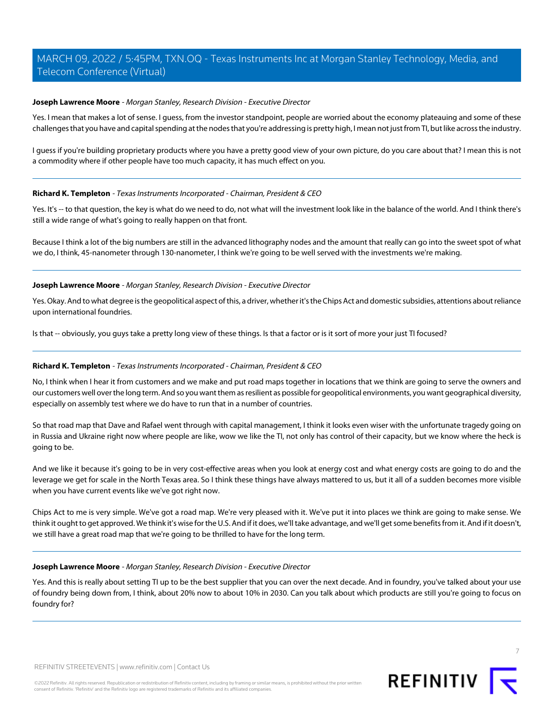# **Joseph Lawrence Moore** - Morgan Stanley, Research Division - Executive Director

Yes. I mean that makes a lot of sense. I guess, from the investor standpoint, people are worried about the economy plateauing and some of these challenges that you have and capital spending at the nodes that you're addressing is pretty high, I mean not just from TI, but like across the industry.

I guess if you're building proprietary products where you have a pretty good view of your own picture, do you care about that? I mean this is not a commodity where if other people have too much capacity, it has much effect on you.

#### **Richard K. Templeton** - Texas Instruments Incorporated - Chairman, President & CEO

Yes. It's -- to that question, the key is what do we need to do, not what will the investment look like in the balance of the world. And I think there's still a wide range of what's going to really happen on that front.

Because I think a lot of the big numbers are still in the advanced lithography nodes and the amount that really can go into the sweet spot of what we do, I think, 45-nanometer through 130-nanometer, I think we're going to be well served with the investments we're making.

# **Joseph Lawrence Moore** - Morgan Stanley, Research Division - Executive Director

Yes. Okay. And to what degree is the geopolitical aspect of this, a driver, whether it's the Chips Act and domestic subsidies, attentions about reliance upon international foundries.

Is that -- obviously, you guys take a pretty long view of these things. Is that a factor or is it sort of more your just TI focused?

# **Richard K. Templeton** - Texas Instruments Incorporated - Chairman, President & CEO

No, I think when I hear it from customers and we make and put road maps together in locations that we think are going to serve the owners and our customers well over the long term. And so you want them as resilient as possible for geopolitical environments, you want geographical diversity, especially on assembly test where we do have to run that in a number of countries.

So that road map that Dave and Rafael went through with capital management, I think it looks even wiser with the unfortunate tragedy going on in Russia and Ukraine right now where people are like, wow we like the TI, not only has control of their capacity, but we know where the heck is going to be.

And we like it because it's going to be in very cost-effective areas when you look at energy cost and what energy costs are going to do and the leverage we get for scale in the North Texas area. So I think these things have always mattered to us, but it all of a sudden becomes more visible when you have current events like we've got right now.

Chips Act to me is very simple. We've got a road map. We're very pleased with it. We've put it into places we think are going to make sense. We think it ought to get approved. We think it's wise for the U.S. And if it does, we'll take advantage, and we'll get some benefits from it. And if it doesn't, we still have a great road map that we're going to be thrilled to have for the long term.

#### **Joseph Lawrence Moore** - Morgan Stanley, Research Division - Executive Director

Yes. And this is really about setting TI up to be the best supplier that you can over the next decade. And in foundry, you've talked about your use of foundry being down from, I think, about 20% now to about 10% in 2030. Can you talk about which products are still you're going to focus on foundry for?

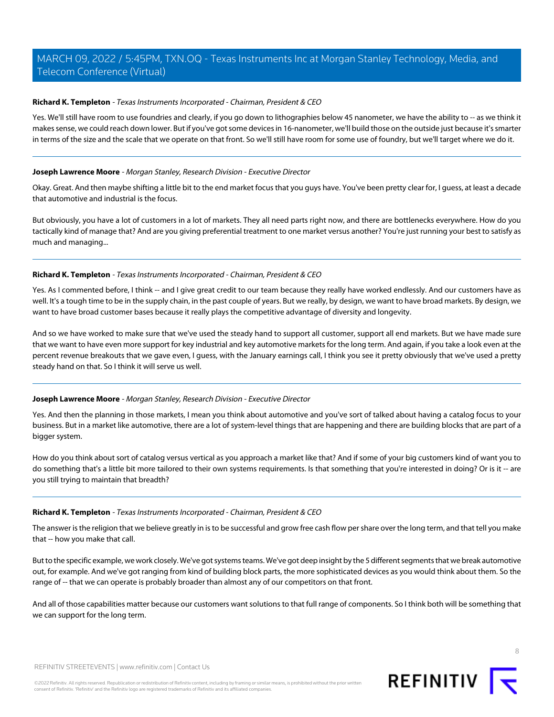# **Richard K. Templeton** - Texas Instruments Incorporated - Chairman, President & CEO

Yes. We'll still have room to use foundries and clearly, if you go down to lithographies below 45 nanometer, we have the ability to -- as we think it makes sense, we could reach down lower. But if you've got some devices in 16-nanometer, we'll build those on the outside just because it's smarter in terms of the size and the scale that we operate on that front. So we'll still have room for some use of foundry, but we'll target where we do it.

# **Joseph Lawrence Moore** - Morgan Stanley, Research Division - Executive Director

Okay. Great. And then maybe shifting a little bit to the end market focus that you guys have. You've been pretty clear for, I guess, at least a decade that automotive and industrial is the focus.

But obviously, you have a lot of customers in a lot of markets. They all need parts right now, and there are bottlenecks everywhere. How do you tactically kind of manage that? And are you giving preferential treatment to one market versus another? You're just running your best to satisfy as much and managing...

# **Richard K. Templeton** - Texas Instruments Incorporated - Chairman, President & CEO

Yes. As I commented before, I think -- and I give great credit to our team because they really have worked endlessly. And our customers have as well. It's a tough time to be in the supply chain, in the past couple of years. But we really, by design, we want to have broad markets. By design, we want to have broad customer bases because it really plays the competitive advantage of diversity and longevity.

And so we have worked to make sure that we've used the steady hand to support all customer, support all end markets. But we have made sure that we want to have even more support for key industrial and key automotive markets for the long term. And again, if you take a look even at the percent revenue breakouts that we gave even, I guess, with the January earnings call, I think you see it pretty obviously that we've used a pretty steady hand on that. So I think it will serve us well.

# **Joseph Lawrence Moore** - Morgan Stanley, Research Division - Executive Director

Yes. And then the planning in those markets, I mean you think about automotive and you've sort of talked about having a catalog focus to your business. But in a market like automotive, there are a lot of system-level things that are happening and there are building blocks that are part of a bigger system.

How do you think about sort of catalog versus vertical as you approach a market like that? And if some of your big customers kind of want you to do something that's a little bit more tailored to their own systems requirements. Is that something that you're interested in doing? Or is it -- are you still trying to maintain that breadth?

### **Richard K. Templeton** - Texas Instruments Incorporated - Chairman, President & CEO

The answer is the religion that we believe greatly in is to be successful and grow free cash flow per share over the long term, and that tell you make that -- how you make that call.

But to the specific example, we work closely. We've got systems teams. We've got deep insight by the 5 different segments that we break automotive out, for example. And we've got ranging from kind of building block parts, the more sophisticated devices as you would think about them. So the range of -- that we can operate is probably broader than almost any of our competitors on that front.

And all of those capabilities matter because our customers want solutions to that full range of components. So I think both will be something that we can support for the long term.

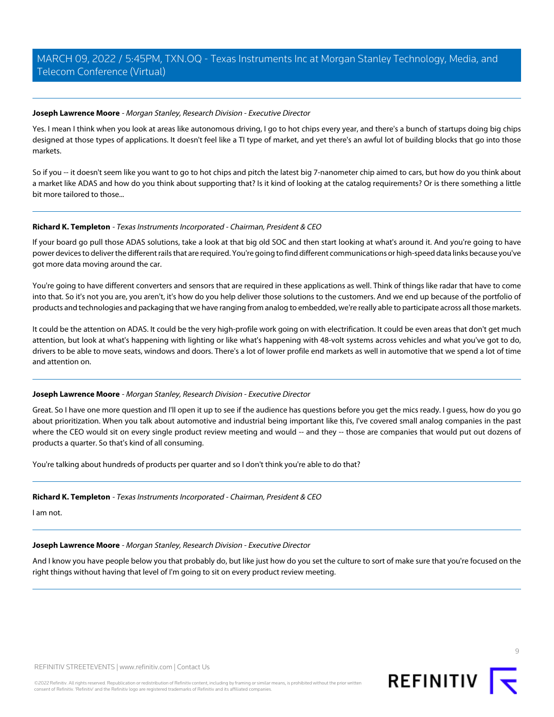# **Joseph Lawrence Moore** - Morgan Stanley, Research Division - Executive Director

Yes. I mean I think when you look at areas like autonomous driving, I go to hot chips every year, and there's a bunch of startups doing big chips designed at those types of applications. It doesn't feel like a TI type of market, and yet there's an awful lot of building blocks that go into those markets.

So if you -- it doesn't seem like you want to go to hot chips and pitch the latest big 7-nanometer chip aimed to cars, but how do you think about a market like ADAS and how do you think about supporting that? Is it kind of looking at the catalog requirements? Or is there something a little bit more tailored to those...

# **Richard K. Templeton** - Texas Instruments Incorporated - Chairman, President & CEO

If your board go pull those ADAS solutions, take a look at that big old SOC and then start looking at what's around it. And you're going to have power devices to deliver the different rails that are required. You're going to find different communications or high-speed data links because you've got more data moving around the car.

You're going to have different converters and sensors that are required in these applications as well. Think of things like radar that have to come into that. So it's not you are, you aren't, it's how do you help deliver those solutions to the customers. And we end up because of the portfolio of products and technologies and packaging that we have ranging from analog to embedded, we're really able to participate across all those markets.

It could be the attention on ADAS. It could be the very high-profile work going on with electrification. It could be even areas that don't get much attention, but look at what's happening with lighting or like what's happening with 48-volt systems across vehicles and what you've got to do, drivers to be able to move seats, windows and doors. There's a lot of lower profile end markets as well in automotive that we spend a lot of time and attention on.

# **Joseph Lawrence Moore** - Morgan Stanley, Research Division - Executive Director

Great. So I have one more question and I'll open it up to see if the audience has questions before you get the mics ready. I guess, how do you go about prioritization. When you talk about automotive and industrial being important like this, I've covered small analog companies in the past where the CEO would sit on every single product review meeting and would -- and they -- those are companies that would put out dozens of products a quarter. So that's kind of all consuming.

You're talking about hundreds of products per quarter and so I don't think you're able to do that?

# **Richard K. Templeton** - Texas Instruments Incorporated - Chairman, President & CEO

I am not.

#### **Joseph Lawrence Moore** - Morgan Stanley, Research Division - Executive Director

And I know you have people below you that probably do, but like just how do you set the culture to sort of make sure that you're focused on the right things without having that level of I'm going to sit on every product review meeting.



 $\circ$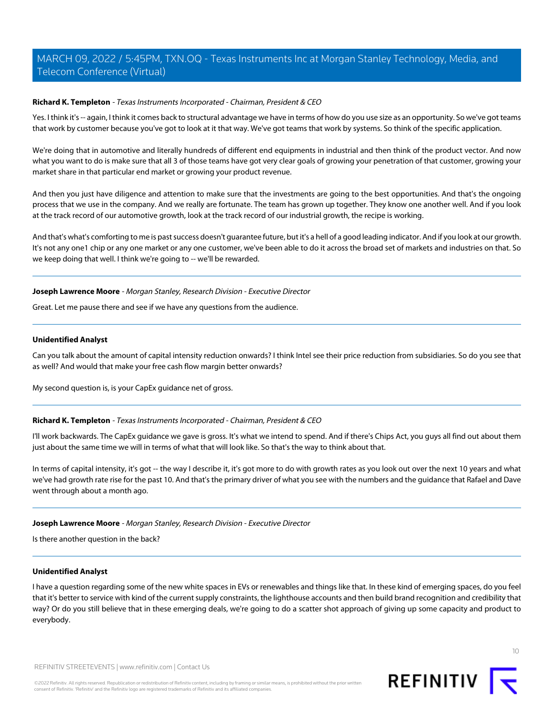# **Richard K. Templeton** - Texas Instruments Incorporated - Chairman, President & CEO

Yes. I think it's -- again, I think it comes back to structural advantage we have in terms of how do you use size as an opportunity. So we've got teams that work by customer because you've got to look at it that way. We've got teams that work by systems. So think of the specific application.

We're doing that in automotive and literally hundreds of different end equipments in industrial and then think of the product vector. And now what you want to do is make sure that all 3 of those teams have got very clear goals of growing your penetration of that customer, growing your market share in that particular end market or growing your product revenue.

And then you just have diligence and attention to make sure that the investments are going to the best opportunities. And that's the ongoing process that we use in the company. And we really are fortunate. The team has grown up together. They know one another well. And if you look at the track record of our automotive growth, look at the track record of our industrial growth, the recipe is working.

And that's what's comforting to me is past success doesn't guarantee future, but it's a hell of a good leading indicator. And if you look at our growth. It's not any one1 chip or any one market or any one customer, we've been able to do it across the broad set of markets and industries on that. So we keep doing that well. I think we're going to -- we'll be rewarded.

# **Joseph Lawrence Moore** - Morgan Stanley, Research Division - Executive Director

Great. Let me pause there and see if we have any questions from the audience.

#### **Unidentified Analyst**

Can you talk about the amount of capital intensity reduction onwards? I think Intel see their price reduction from subsidiaries. So do you see that as well? And would that make your free cash flow margin better onwards?

My second question is, is your CapEx guidance net of gross.

#### **Richard K. Templeton** - Texas Instruments Incorporated - Chairman, President & CEO

I'll work backwards. The CapEx guidance we gave is gross. It's what we intend to spend. And if there's Chips Act, you guys all find out about them just about the same time we will in terms of what that will look like. So that's the way to think about that.

In terms of capital intensity, it's got -- the way I describe it, it's got more to do with growth rates as you look out over the next 10 years and what we've had growth rate rise for the past 10. And that's the primary driver of what you see with the numbers and the guidance that Rafael and Dave went through about a month ago.

#### **Joseph Lawrence Moore** - Morgan Stanley, Research Division - Executive Director

Is there another question in the back?

## **Unidentified Analyst**

I have a question regarding some of the new white spaces in EVs or renewables and things like that. In these kind of emerging spaces, do you feel that it's better to service with kind of the current supply constraints, the lighthouse accounts and then build brand recognition and credibility that way? Or do you still believe that in these emerging deals, we're going to do a scatter shot approach of giving up some capacity and product to everybody.